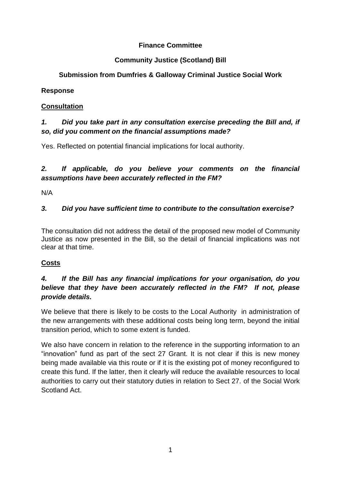### **Finance Committee**

### **Community Justice (Scotland) Bill**

# **Submission from Dumfries & Galloway Criminal Justice Social Work**

#### **Response**

## **Consultation**

# *1. Did you take part in any consultation exercise preceding the Bill and, if so, did you comment on the financial assumptions made?*

Yes. Reflected on potential financial implications for local authority.

# *2. If applicable, do you believe your comments on the financial assumptions have been accurately reflected in the FM?*

N/A

# *3. Did you have sufficient time to contribute to the consultation exercise?*

The consultation did not address the detail of the proposed new model of Community Justice as now presented in the Bill, so the detail of financial implications was not clear at that time.

## **Costs**

## *4. If the Bill has any financial implications for your organisation, do you believe that they have been accurately reflected in the FM? If not, please provide details.*

We believe that there is likely to be costs to the Local Authority in administration of the new arrangements with these additional costs being long term, beyond the initial transition period, which to some extent is funded.

We also have concern in relation to the reference in the supporting information to an "innovation" fund as part of the sect 27 Grant. It is not clear if this is new money being made available via this route or if it is the existing pot of money reconfigured to create this fund. If the latter, then it clearly will reduce the available resources to local authorities to carry out their statutory duties in relation to Sect 27. of the Social Work Scotland Act.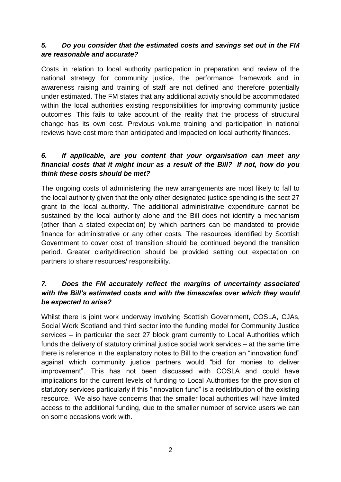### *5. Do you consider that the estimated costs and savings set out in the FM are reasonable and accurate?*

Costs in relation to local authority participation in preparation and review of the national strategy for community justice, the performance framework and in awareness raising and training of staff are not defined and therefore potentially under estimated. The FM states that any additional activity should be accommodated within the local authorities existing responsibilities for improving community justice outcomes. This fails to take account of the reality that the process of structural change has its own cost. Previous volume training and participation in national reviews have cost more than anticipated and impacted on local authority finances.

### *6. If applicable, are you content that your organisation can meet any financial costs that it might incur as a result of the Bill? If not, how do you think these costs should be met?*

The ongoing costs of administering the new arrangements are most likely to fall to the local authority given that the only other designated justice spending is the sect 27 grant to the local authority. The additional administrative expenditure cannot be sustained by the local authority alone and the Bill does not identify a mechanism (other than a stated expectation) by which partners can be mandated to provide finance for administrative or any other costs. The resources identified by Scottish Government to cover cost of transition should be continued beyond the transition period. Greater clarity/direction should be provided setting out expectation on partners to share resources/ responsibility.

#### *7. Does the FM accurately reflect the margins of uncertainty associated with the Bill's estimated costs and with the timescales over which they would be expected to arise?*

Whilst there is joint work underway involving Scottish Government, COSLA, CJAs, Social Work Scotland and third sector into the funding model for Community Justice services – in particular the sect 27 block grant currently to Local Authorities which funds the delivery of statutory criminal justice social work services – at the same time there is reference in the explanatory notes to Bill to the creation an "innovation fund" against which community justice partners would "bid for monies to deliver improvement". This has not been discussed with COSLA and could have implications for the current levels of funding to Local Authorities for the provision of statutory services particularly if this "innovation fund" is a redistribution of the existing resource. We also have concerns that the smaller local authorities will have limited access to the additional funding, due to the smaller number of service users we can on some occasions work with.